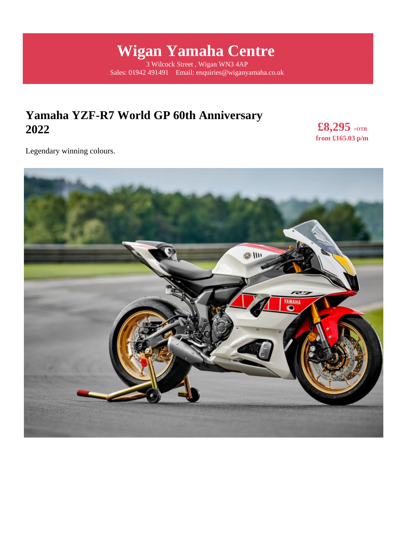# **Wigan Yamaha Centre**

3 Wilcock Street , Wigan WN3 4AP Sales: 01942 491491 Email: enquiries@wiganyamaha.co.uk

## **Yamaha YZF-R7 World GP 60th Anniversary 2022**

**£8,295 +OTR from £165.03 p/m** 

Legendary winning colours.

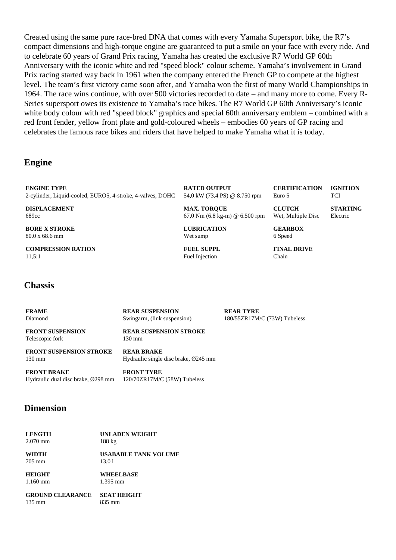Created using the same pure race-bred DNA that comes with every Yamaha Supersport bike, the R7's compact dimensions and high-torque engine are guaranteed to put a smile on your face with every ride. And to celebrate 60 years of Grand Prix racing, Yamaha has created the exclusive R7 World GP 60th Anniversary with the iconic white and red "speed block" colour scheme. Yamaha's involvement in Grand Prix racing started way back in 1961 when the company entered the French GP to compete at the highest level. The team's first victory came soon after, and Yamaha won the first of many World Championships in 1964. The race wins continue, with over 500 victories recorded to date – and many more to come. Every R-Series supersport owes its existence to Yamaha's race bikes. The R7 World GP 60th Anniversary's iconic white body colour with red "speed block" graphics and special 60th anniversary emblem – combined with a red front fender, yellow front plate and gold-coloured wheels – embodies 60 years of GP racing and celebrates the famous race bikes and riders that have helped to make Yamaha what it is today.

#### **Engine**

**ENGINE TYPE** 2-cylinder, Liquid-cooled, EURO5, 4-stroke, 4-valves, DOHC

**DISPLACEMENT** 689cc

**BORE X STROKE** 80.0 x 68.6 mm

**COMPRESSION RATION**  $11,5:1$ 

**RATED OUTPUT** 54,0 kW (73,4 PS) @ 8.750 rpm

Euro 5 **CLUTCH**

**CERTIFICATION**

Wet, Multiple Disc

**IGNITION TCI** 

**STARTING** Electric

67,0 Nm (6.8 kg-m) @ 6.500 rpm **LUBRICATION** Wet sump

**MAX. TORQUE**

**FUEL SUPPL** Fuel Injection

**GEARBOX** 6 Speed

**FINAL DRIVE** Chain

#### **Chassis**

| <b>FRAME</b>                               | <b>REAR SUSPENSION</b>                            | <b>REAR TYRE</b>             |
|--------------------------------------------|---------------------------------------------------|------------------------------|
| Diamond                                    | Swingarm, (link suspension)                       | 180/55ZR17M/C (73W) Tubeless |
| <b>FRONT SUSPENSION</b><br>Telescopic fork | <b>REAR SUSPENSION STROKE</b><br>$130 \text{ mm}$ |                              |
| <b>FRONT SUSPENSION STROKE</b>             | <b>REAR BRAKE</b>                                 |                              |
| $130 \text{ mm}$                           | Hydraulic single disc brake, $\varnothing$ 245 mm |                              |
| <b>FRONT BRAKE</b>                         | <b>FRONT TYRE</b>                                 |                              |
| Hydraulic dual disc brake, Ø298 mm         | 120/70ZR17M/C (58W) Tubeless                      |                              |

#### **Dimension**

| <b>LENGTH</b> | <b>UNLADEN WEIGHT</b> |
|---------------|-----------------------|
| $2.070$ mm    | $188 \text{ kg}$      |

**WIDTH** 705 mm

**USABABLE TANK VOLUME** 13,0 l

**HEIGHT** 1.160 mm **WHEELBASE** 1.395 mm

**GROUND CLEARANCE** 135 mm **SEAT HEIGHT** 835 mm